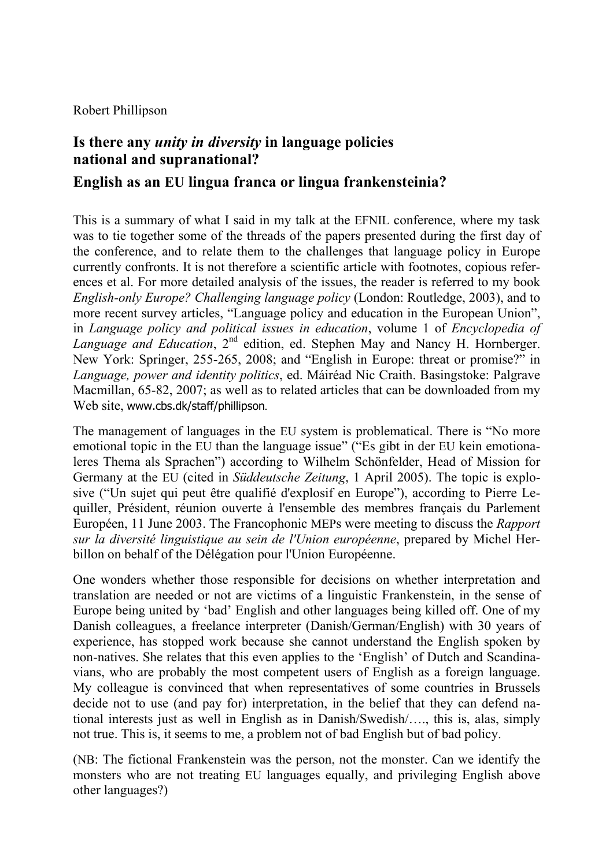Robert Phillipson

## **Is there any** *unity in diversity* **in language policies national and supranational?**

**English as an EU lingua franca or lingua frankensteinia?** 

This is a summary of what I said in my talk at the EFNIL conference, where my task was to tie together some of the threads of the papers presented during the first day of the conference, and to relate them to the challenges that language policy in Europe currently confronts. It is not therefore a scientific article with footnotes, copious references et al. For more detailed analysis of the issues, the reader is referred to my book *English-only Europe? Challenging language policy* (London: Routledge, 2003), and to more recent survey articles, "Language policy and education in the European Union", in *Language policy and political issues in education*, volume 1 of *Encyclopedia of Language and Education*, 2<sup>nd</sup> edition, ed. Stephen May and Nancy H. Hornberger. New York: Springer, 255-265, 2008; and "English in Europe: threat or promise?" in *Language, power and identity politics*, ed. Máiréad Nic Craith. Basingstoke: Palgrave Macmillan, 65-82, 2007; as well as to related articles that can be downloaded from my Web site, www.cbs.dk/staff/phillipson*.*

The management of languages in the EU system is problematical. There is "No more emotional topic in the EU than the language issue" ("Es gibt in der EU kein emotionaleres Thema als Sprachen") according to Wilhelm Schönfelder, Head of Mission for Germany at the EU (cited in *Süddeutsche Zeitung*, 1 April 2005). The topic is explosive ("Un sujet qui peut être qualifié d'explosif en Europe"), according to Pierre Lequiller, Président, réunion ouverte à l'ensemble des membres français du Parlement Européen, 11 June 2003. The Francophonic MEPs were meeting to discuss the *Rapport sur la diversité linguistique au sein de l'Union européenne*, prepared by Michel Herbillon on behalf of the Délégation pour l'Union Européenne.

One wonders whether those responsible for decisions on whether interpretation and translation are needed or not are victims of a linguistic Frankenstein, in the sense of Europe being united by 'bad' English and other languages being killed off. One of my Danish colleagues, a freelance interpreter (Danish/German/English) with 30 years of experience, has stopped work because she cannot understand the English spoken by non-natives. She relates that this even applies to the 'English' of Dutch and Scandinavians, who are probably the most competent users of English as a foreign language. My colleague is convinced that when representatives of some countries in Brussels decide not to use (and pay for) interpretation, in the belief that they can defend national interests just as well in English as in Danish/Swedish/…., this is, alas, simply not true. This is, it seems to me, a problem not of bad English but of bad policy.

(NB: The fictional Frankenstein was the person, not the monster. Can we identify the monsters who are not treating EU languages equally, and privileging English above other languages?)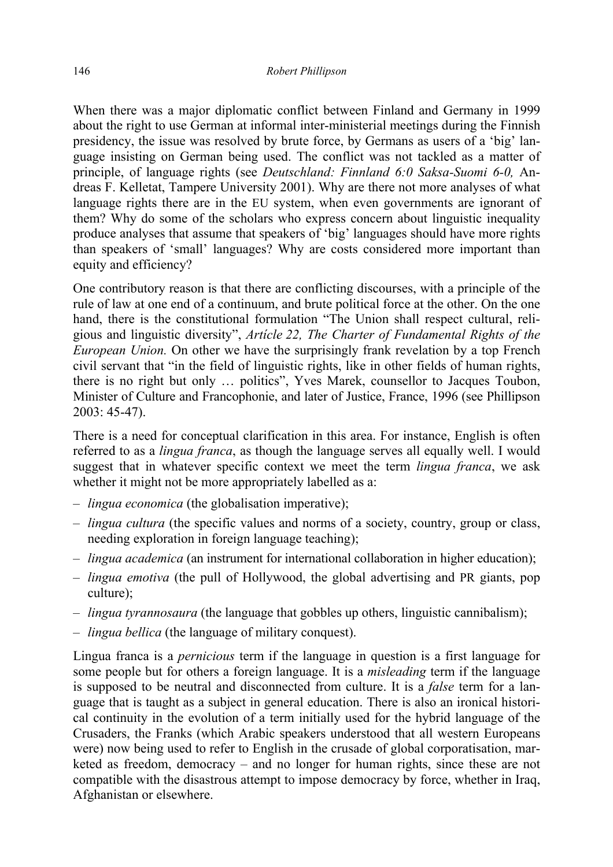When there was a major diplomatic conflict between Finland and Germany in 1999 about the right to use German at informal inter-ministerial meetings during the Finnish presidency, the issue was resolved by brute force, by Germans as users of a 'big' language insisting on German being used. The conflict was not tackled as a matter of principle, of language rights (see *Deutschland: Finnland 6:0 Saksa-Suomi 6-0,* Andreas F. Kelletat, Tampere University 2001). Why are there not more analyses of what language rights there are in the EU system, when even governments are ignorant of them? Why do some of the scholars who express concern about linguistic inequality produce analyses that assume that speakers of 'big' languages should have more rights than speakers of 'small' languages? Why are costs considered more important than equity and efficiency?

One contributory reason is that there are conflicting discourses, with a principle of the rule of law at one end of a continuum, and brute political force at the other. On the one hand, there is the constitutional formulation "The Union shall respect cultural, religious and linguistic diversity", *Artícle 22, The Charter of Fundamental Rights of the European Union.* On other we have the surprisingly frank revelation by a top French civil servant that "in the field of linguistic rights, like in other fields of human rights, there is no right but only … politics", Yves Marek, counsellor to Jacques Toubon, Minister of Culture and Francophonie, and later of Justice, France, 1996 (see Phillipson 2003: 45-47).

There is a need for conceptual clarification in this area. For instance, English is often referred to as a *lingua franca*, as though the language serves all equally well. I would suggest that in whatever specific context we meet the term *lingua franca*, we ask whether it might not be more appropriately labelled as a:

- *lingua economica* (the globalisation imperative);
- *lingua cultura* (the specific values and norms of a society, country, group or class, needing exploration in foreign language teaching);
- *lingua academica* (an instrument for international collaboration in higher education);
- *lingua emotiva* (the pull of Hollywood, the global advertising and PR giants, pop culture);
- *lingua tyrannosaura* (the language that gobbles up others, linguistic cannibalism);
- *lingua bellica* (the language of military conquest).

Lingua franca is a *pernicious* term if the language in question is a first language for some people but for others a foreign language. It is a *misleading* term if the language is supposed to be neutral and disconnected from culture. It is a *false* term for a language that is taught as a subject in general education. There is also an ironical historical continuity in the evolution of a term initially used for the hybrid language of the Crusaders, the Franks (which Arabic speakers understood that all western Europeans were) now being used to refer to English in the crusade of global corporatisation, marketed as freedom, democracy – and no longer for human rights, since these are not compatible with the disastrous attempt to impose democracy by force, whether in Iraq, Afghanistan or elsewhere.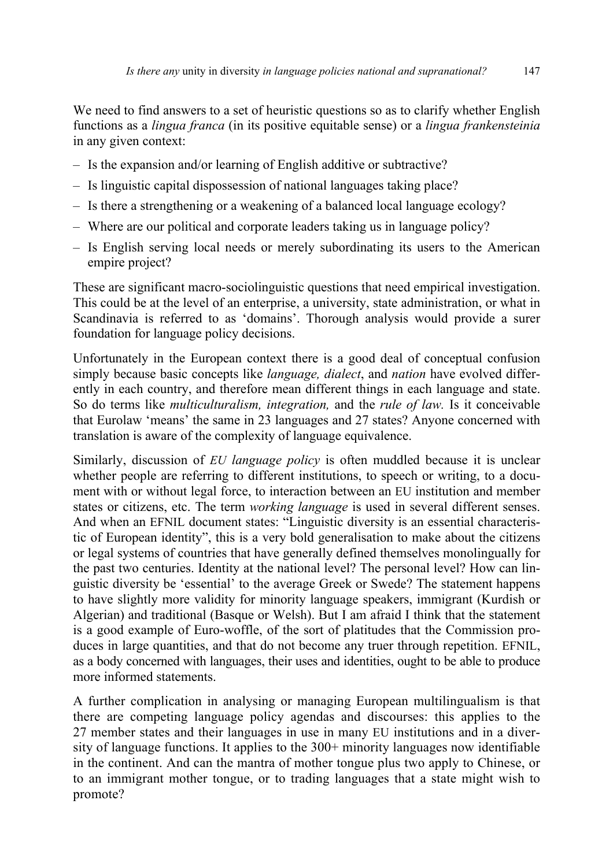We need to find answers to a set of heuristic questions so as to clarify whether English functions as a *lingua franca* (in its positive equitable sense) or a *lingua frankensteinia*  in any given context:

- Is the expansion and/or learning of English additive or subtractive?
- Is linguistic capital dispossession of national languages taking place?
- Is there a strengthening or a weakening of a balanced local language ecology?
- Where are our political and corporate leaders taking us in language policy?
- Is English serving local needs or merely subordinating its users to the American empire project?

These are significant macro-sociolinguistic questions that need empirical investigation. This could be at the level of an enterprise, a university, state administration, or what in Scandinavia is referred to as 'domains'. Thorough analysis would provide a surer foundation for language policy decisions.

Unfortunately in the European context there is a good deal of conceptual confusion simply because basic concepts like *language, dialect*, and *nation* have evolved differently in each country, and therefore mean different things in each language and state. So do terms like *multiculturalism, integration,* and the *rule of law.* Is it conceivable that Eurolaw 'means' the same in 23 languages and 27 states? Anyone concerned with translation is aware of the complexity of language equivalence.

Similarly, discussion of *EU language policy* is often muddled because it is unclear whether people are referring to different institutions, to speech or writing, to a document with or without legal force, to interaction between an EU institution and member states or citizens, etc. The term *working language* is used in several different senses. And when an EFNIL document states: "Linguistic diversity is an essential characteristic of European identity", this is a very bold generalisation to make about the citizens or legal systems of countries that have generally defined themselves monolingually for the past two centuries. Identity at the national level? The personal level? How can linguistic diversity be 'essential' to the average Greek or Swede? The statement happens to have slightly more validity for minority language speakers, immigrant (Kurdish or Algerian) and traditional (Basque or Welsh). But I am afraid I think that the statement is a good example of Euro-woffle, of the sort of platitudes that the Commission produces in large quantities, and that do not become any truer through repetition. EFNIL, as a body concerned with languages, their uses and identities, ought to be able to produce more informed statements.

A further complication in analysing or managing European multilingualism is that there are competing language policy agendas and discourses: this applies to the 27 member states and their languages in use in many EU institutions and in a diversity of language functions. It applies to the 300+ minority languages now identifiable in the continent. And can the mantra of mother tongue plus two apply to Chinese, or to an immigrant mother tongue, or to trading languages that a state might wish to promote?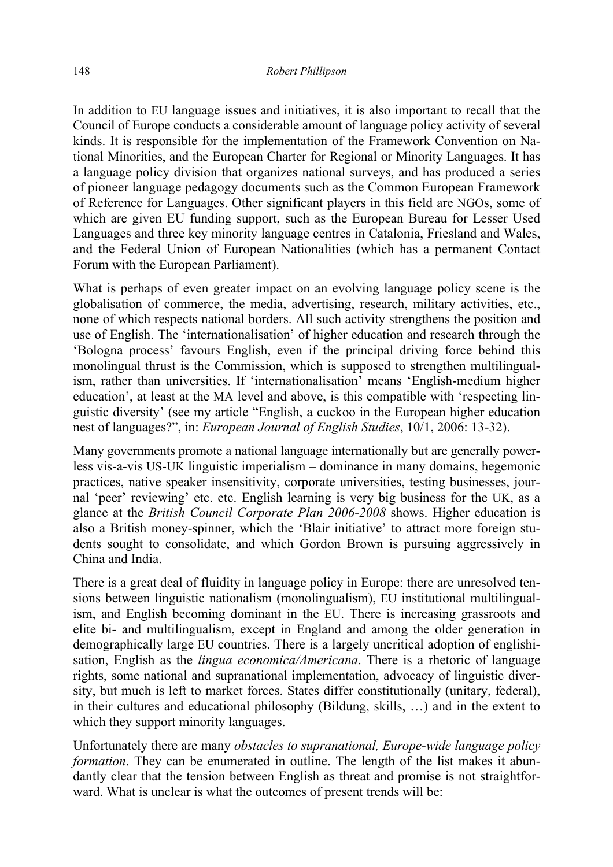In addition to EU language issues and initiatives, it is also important to recall that the Council of Europe conducts a considerable amount of language policy activity of several kinds. It is responsible for the implementation of the Framework Convention on National Minorities, and the European Charter for Regional or Minority Languages. It has a language policy division that organizes national surveys, and has produced a series of pioneer language pedagogy documents such as the Common European Framework of Reference for Languages. Other significant players in this field are NGOs, some of which are given EU funding support, such as the European Bureau for Lesser Used Languages and three key minority language centres in Catalonia, Friesland and Wales, and the Federal Union of European Nationalities (which has a permanent Contact Forum with the European Parliament).

What is perhaps of even greater impact on an evolving language policy scene is the globalisation of commerce, the media, advertising, research, military activities, etc., none of which respects national borders. All such activity strengthens the position and use of English. The 'internationalisation' of higher education and research through the 'Bologna process' favours English, even if the principal driving force behind this monolingual thrust is the Commission, which is supposed to strengthen multilingualism, rather than universities. If 'internationalisation' means 'English-medium higher education', at least at the MA level and above, is this compatible with 'respecting linguistic diversity' (see my article "English, a cuckoo in the European higher education nest of languages?", in: *European Journal of English Studies*, 10/1, 2006: 13-32).

Many governments promote a national language internationally but are generally powerless vis-a-vis US-UK linguistic imperialism – dominance in many domains, hegemonic practices, native speaker insensitivity, corporate universities, testing businesses, journal 'peer' reviewing' etc. etc. English learning is very big business for the UK, as a glance at the *British Council Corporate Plan 2006-2008* shows. Higher education is also a British money-spinner, which the 'Blair initiative' to attract more foreign students sought to consolidate, and which Gordon Brown is pursuing aggressively in China and India.

There is a great deal of fluidity in language policy in Europe: there are unresolved tensions between linguistic nationalism (monolingualism), EU institutional multilingualism, and English becoming dominant in the EU. There is increasing grassroots and elite bi- and multilingualism, except in England and among the older generation in demographically large EU countries. There is a largely uncritical adoption of englishisation, English as the *lingua economica/Americana*. There is a rhetoric of language rights, some national and supranational implementation, advocacy of linguistic diversity, but much is left to market forces. States differ constitutionally (unitary, federal), in their cultures and educational philosophy (Bildung, skills, …) and in the extent to which they support minority languages.

Unfortunately there are many *obstacles to supranational, Europe-wide language policy formation*. They can be enumerated in outline. The length of the list makes it abundantly clear that the tension between English as threat and promise is not straightforward. What is unclear is what the outcomes of present trends will be: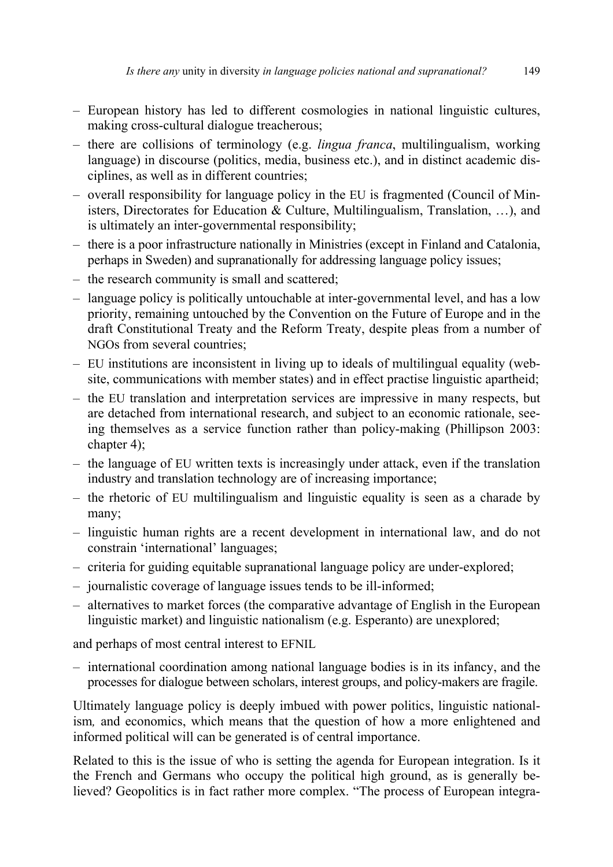- European history has led to different cosmologies in national linguistic cultures, making cross-cultural dialogue treacherous;
- there are collisions of terminology (e.g. *lingua franca*, multilingualism, working language) in discourse (politics, media, business etc.), and in distinct academic disciplines, as well as in different countries;
- overall responsibility for language policy in the EU is fragmented (Council of Ministers, Directorates for Education & Culture, Multilingualism, Translation, …), and is ultimately an inter-governmental responsibility;
- there is a poor infrastructure nationally in Ministries (except in Finland and Catalonia, perhaps in Sweden) and supranationally for addressing language policy issues;
- the research community is small and scattered;
- language policy is politically untouchable at inter-governmental level, and has a low priority, remaining untouched by the Convention on the Future of Europe and in the draft Constitutional Treaty and the Reform Treaty, despite pleas from a number of NGOs from several countries;
- EU institutions are inconsistent in living up to ideals of multilingual equality (website, communications with member states) and in effect practise linguistic apartheid;
- the EU translation and interpretation services are impressive in many respects, but are detached from international research, and subject to an economic rationale, seeing themselves as a service function rather than policy-making (Phillipson 2003: chapter 4);
- the language of EU written texts is increasingly under attack, even if the translation industry and translation technology are of increasing importance;
- the rhetoric of EU multilingualism and linguistic equality is seen as a charade by many;
- linguistic human rights are a recent development in international law, and do not constrain 'international' languages;
- criteria for guiding equitable supranational language policy are under-explored;
- journalistic coverage of language issues tends to be ill-informed;
- alternatives to market forces (the comparative advantage of English in the European linguistic market) and linguistic nationalism (e.g. Esperanto) are unexplored;

and perhaps of most central interest to EFNIL

– international coordination among national language bodies is in its infancy, and the processes for dialogue between scholars, interest groups, and policy-makers are fragile.

Ultimately language policy is deeply imbued with power politics, linguistic nationalism*,* and economics, which means that the question of how a more enlightened and informed political will can be generated is of central importance.

Related to this is the issue of who is setting the agenda for European integration. Is it the French and Germans who occupy the political high ground, as is generally believed? Geopolitics is in fact rather more complex. "The process of European integra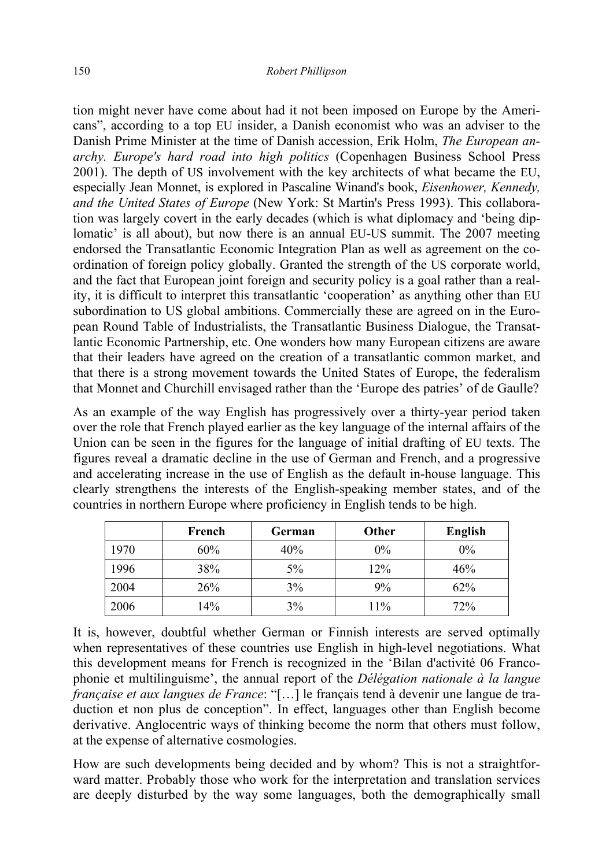tion might never have come about had it not been imposed on Europe by the Americans", according to a top EU insider, a Danish economist who was an adviser to the Danish Prime Minister at the time of Danish accession, Erik Holm, *The European anarchy. Europe's hard road into high politics* (Copenhagen Business School Press 2001). The depth of US involvement with the key architects of what became the EU, especially Jean Monnet, is explored in Pascaline Winand's book, *Eisenhower, Kennedy, and the United States of Europe* (New York: St Martin's Press 1993). This collaboration was largely covert in the early decades (which is what diplomacy and 'being diplomatic' is all about), but now there is an annual EU-US summit. The 2007 meeting endorsed the Transatlantic Economic Integration Plan as well as agreement on the coordination of foreign policy globally. Granted the strength of the US corporate world, and the fact that European joint foreign and security policy is a goal rather than a reality, it is difficult to interpret this transatlantic 'cooperation' as anything other than EU subordination to US global ambitions. Commercially these are agreed on in the European Round Table of Industrialists, the Transatlantic Business Dialogue, the Transatlantic Economic Partnership, etc. One wonders how many European citizens are aware that their leaders have agreed on the creation of a transatlantic common market, and that there is a strong movement towards the United States of Europe, the federalism that Monnet and Churchill envisaged rather than the 'Europe des patries' of de Gaulle?

As an example of the way English has progressively over a thirty-year period taken over the role that French played earlier as the key language of the internal affairs of the Union can be seen in the figures for the language of initial drafting of EU texts. The figures reveal a dramatic decline in the use of German and French, and a progressive and accelerating increase in the use of English as the default in-house language. This clearly strengthens the interests of the English-speaking member states, and of the countries in northern Europe where proficiency in English tends to be high.

|      | French | German | Other | <b>English</b> |
|------|--------|--------|-------|----------------|
| 1970 | 60%    | 40%    | $0\%$ | $0\%$          |
| 1996 | 38%    | $5\%$  | 12%   | 46%            |
| 2004 | 26%    | 3%     | 9%    | 62%            |
| 2006 | 14%    | 3%     | 11%   | 72%            |

It is, however, doubtful whether German or Finnish interests are served optimally when representatives of these countries use English in high-level negotiations. What this development means for French is recognized in the 'Bilan d'activité 06 Francophonie et multilinguisme', the annual report of the *Délégation nationale à la langue française et aux langues de France*: "[…] le français tend à devenir une langue de traduction et non plus de conception". In effect, languages other than English become derivative. Anglocentric ways of thinking become the norm that others must follow, at the expense of alternative cosmologies.

How are such developments being decided and by whom? This is not a straightforward matter. Probably those who work for the interpretation and translation services are deeply disturbed by the way some languages, both the demographically small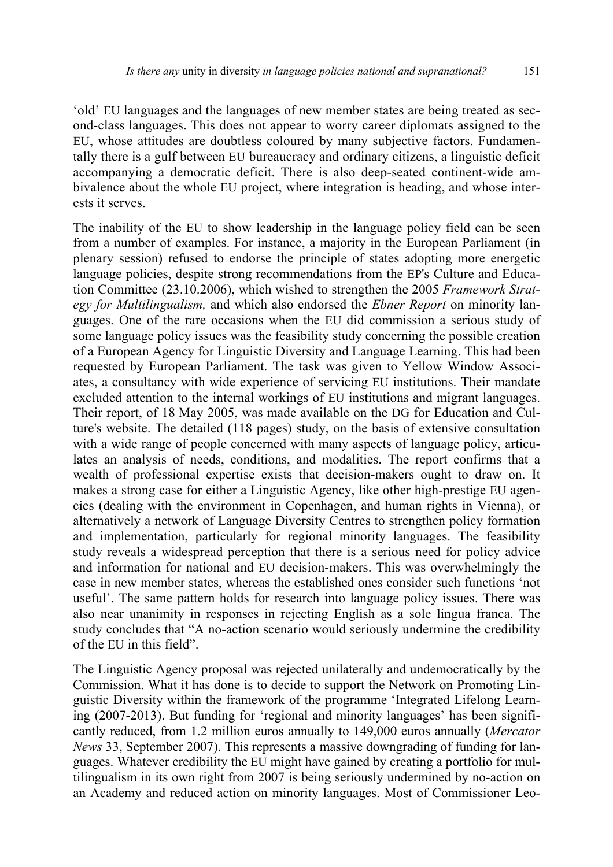'old' EU languages and the languages of new member states are being treated as second-class languages. This does not appear to worry career diplomats assigned to the EU, whose attitudes are doubtless coloured by many subjective factors. Fundamentally there is a gulf between EU bureaucracy and ordinary citizens, a linguistic deficit accompanying a democratic deficit. There is also deep-seated continent-wide ambivalence about the whole EU project, where integration is heading, and whose interests it serves.

The inability of the EU to show leadership in the language policy field can be seen from a number of examples. For instance, a majority in the European Parliament (in plenary session) refused to endorse the principle of states adopting more energetic language policies, despite strong recommendations from the EP's Culture and Education Committee (23.10.2006), which wished to strengthen the 2005 *Framework Strategy for Multilingualism,* and which also endorsed the *Ebner Report* on minority languages. One of the rare occasions when the EU did commission a serious study of some language policy issues was the feasibility study concerning the possible creation of a European Agency for Linguistic Diversity and Language Learning. This had been requested by European Parliament. The task was given to Yellow Window Associates, a consultancy with wide experience of servicing EU institutions. Their mandate excluded attention to the internal workings of EU institutions and migrant languages. Their report, of 18 May 2005, was made available on the DG for Education and Culture's website. The detailed (118 pages) study, on the basis of extensive consultation with a wide range of people concerned with many aspects of language policy, articulates an analysis of needs, conditions, and modalities. The report confirms that a wealth of professional expertise exists that decision-makers ought to draw on. It makes a strong case for either a Linguistic Agency, like other high-prestige EU agencies (dealing with the environment in Copenhagen, and human rights in Vienna), or alternatively a network of Language Diversity Centres to strengthen policy formation and implementation, particularly for regional minority languages. The feasibility study reveals a widespread perception that there is a serious need for policy advice and information for national and EU decision-makers. This was overwhelmingly the case in new member states, whereas the established ones consider such functions 'not useful'. The same pattern holds for research into language policy issues. There was also near unanimity in responses in rejecting English as a sole lingua franca. The study concludes that "A no-action scenario would seriously undermine the credibility of the EU in this field".

The Linguistic Agency proposal was rejected unilaterally and undemocratically by the Commission. What it has done is to decide to support the Network on Promoting Linguistic Diversity within the framework of the programme 'Integrated Lifelong Learning (2007-2013). But funding for 'regional and minority languages' has been significantly reduced, from 1.2 million euros annually to 149,000 euros annually (*Mercator News* 33, September 2007). This represents a massive downgrading of funding for languages. Whatever credibility the EU might have gained by creating a portfolio for multilingualism in its own right from 2007 is being seriously undermined by no-action on an Academy and reduced action on minority languages. Most of Commissioner Leo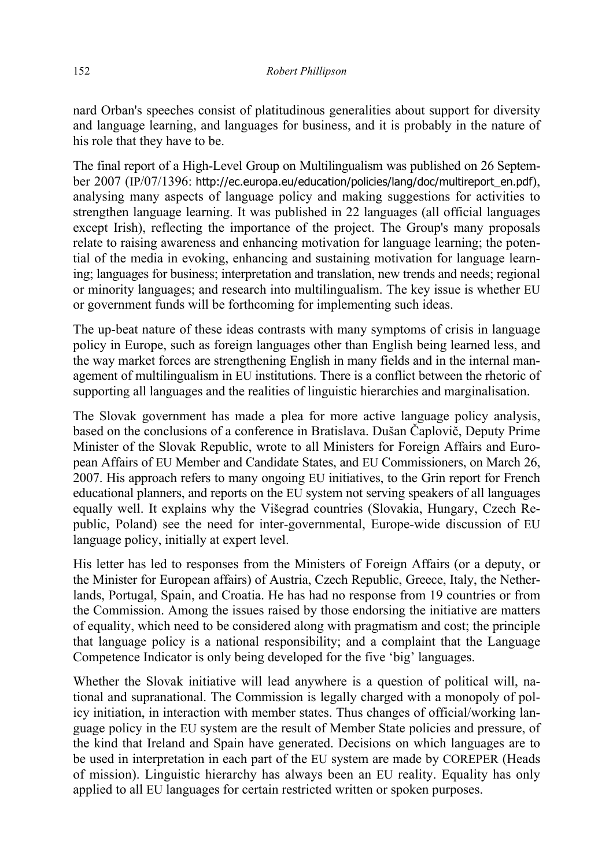nard Orban's speeches consist of platitudinous generalities about support for diversity and language learning, and languages for business, and it is probably in the nature of his role that they have to be.

The final report of a High-Level Group on Multilingualism was published on 26 September 2007 (IP/07/1396: http://ec.europa.eu/education/policies/lang/doc/multireport\_en.pdf), analysing many aspects of language policy and making suggestions for activities to strengthen language learning. It was published in 22 languages (all official languages except Irish), reflecting the importance of the project. The Group's many proposals relate to raising awareness and enhancing motivation for language learning; the potential of the media in evoking, enhancing and sustaining motivation for language learning; languages for business; interpretation and translation, new trends and needs; regional or minority languages; and research into multilingualism. The key issue is whether EU or government funds will be forthcoming for implementing such ideas.

The up-beat nature of these ideas contrasts with many symptoms of crisis in language policy in Europe, such as foreign languages other than English being learned less, and the way market forces are strengthening English in many fields and in the internal management of multilingualism in EU institutions. There is a conflict between the rhetoric of supporting all languages and the realities of linguistic hierarchies and marginalisation.

The Slovak government has made a plea for more active language policy analysis, based on the conclusions of a conference in Bratislava. Dušan Čaplovič, Deputy Prime Minister of the Slovak Republic, wrote to all Ministers for Foreign Affairs and European Affairs of EU Member and Candidate States, and EU Commissioners, on March 26, 2007. His approach refers to many ongoing EU initiatives, to the Grin report for French educational planners, and reports on the EU system not serving speakers of all languages equally well. It explains why the Višegrad countries (Slovakia, Hungary, Czech Republic, Poland) see the need for inter-governmental, Europe-wide discussion of EU language policy, initially at expert level.

His letter has led to responses from the Ministers of Foreign Affairs (or a deputy, or the Minister for European affairs) of Austria, Czech Republic, Greece, Italy, the Netherlands, Portugal, Spain, and Croatia. He has had no response from 19 countries or from the Commission. Among the issues raised by those endorsing the initiative are matters of equality, which need to be considered along with pragmatism and cost; the principle that language policy is a national responsibility; and a complaint that the Language Competence Indicator is only being developed for the five 'big' languages.

Whether the Slovak initiative will lead anywhere is a question of political will, national and supranational. The Commission is legally charged with a monopoly of policy initiation, in interaction with member states. Thus changes of official/working language policy in the EU system are the result of Member State policies and pressure, of the kind that Ireland and Spain have generated. Decisions on which languages are to be used in interpretation in each part of the EU system are made by COREPER (Heads of mission). Linguistic hierarchy has always been an EU reality. Equality has only applied to all EU languages for certain restricted written or spoken purposes.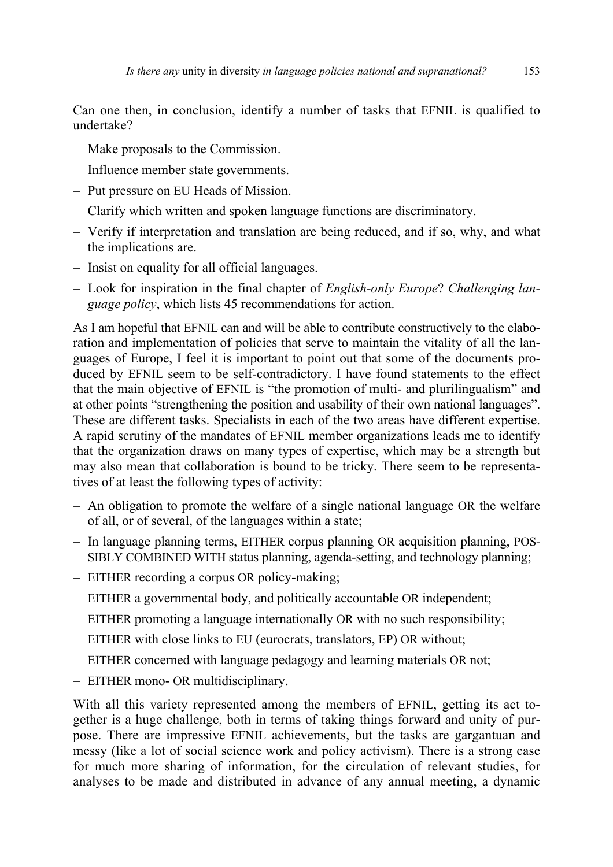Can one then, in conclusion, identify a number of tasks that EFNIL is qualified to undertake?

- Make proposals to the Commission.
- Influence member state governments.
- Put pressure on EU Heads of Mission.
- Clarify which written and spoken language functions are discriminatory.
- Verify if interpretation and translation are being reduced, and if so, why, and what the implications are.
- Insist on equality for all official languages.
- Look for inspiration in the final chapter of *English-only Europe*? *Challenging language policy*, which lists 45 recommendations for action.

As I am hopeful that EFNIL can and will be able to contribute constructively to the elaboration and implementation of policies that serve to maintain the vitality of all the languages of Europe, I feel it is important to point out that some of the documents produced by EFNIL seem to be self-contradictory. I have found statements to the effect that the main objective of EFNIL is "the promotion of multi- and plurilingualism" and at other points "strengthening the position and usability of their own national languages". These are different tasks. Specialists in each of the two areas have different expertise. A rapid scrutiny of the mandates of EFNIL member organizations leads me to identify that the organization draws on many types of expertise, which may be a strength but may also mean that collaboration is bound to be tricky. There seem to be representatives of at least the following types of activity:

- An obligation to promote the welfare of a single national language OR the welfare of all, or of several, of the languages within a state;
- In language planning terms, EITHER corpus planning OR acquisition planning, POS-SIBLY COMBINED WITH status planning, agenda-setting, and technology planning;
- EITHER recording a corpus OR policy-making;
- EITHER a governmental body, and politically accountable OR independent;
- EITHER promoting a language internationally OR with no such responsibility;
- EITHER with close links to EU (eurocrats, translators, EP) OR without;
- EITHER concerned with language pedagogy and learning materials OR not;
- EITHER mono- OR multidisciplinary.

With all this variety represented among the members of EFNIL, getting its act together is a huge challenge, both in terms of taking things forward and unity of purpose. There are impressive EFNIL achievements, but the tasks are gargantuan and messy (like a lot of social science work and policy activism). There is a strong case for much more sharing of information, for the circulation of relevant studies, for analyses to be made and distributed in advance of any annual meeting, a dynamic